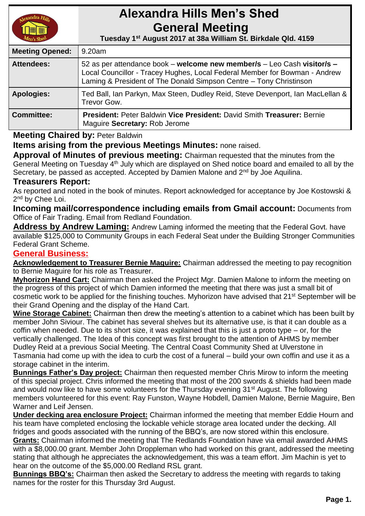

# **Alexandra Hills Men's Shed General Meeting**

 **Tuesday 1 st August 2017 at 38a William St. Birkdale Qld. 4159** 

| <b>Meeting Opened:</b> | 9.20am                                                                                                                                                                                                                      |
|------------------------|-----------------------------------------------------------------------------------------------------------------------------------------------------------------------------------------------------------------------------|
| <b>Attendees:</b>      | 52 as per attendance book – welcome new member/s – Leo Cash visitor/s –<br>Local Councillor - Tracey Hughes, Local Federal Member for Bowman - Andrew<br>Laming & President of The Donald Simpson Centre - Tony Christinson |
| <b>Apologies:</b>      | Ted Ball, Ian Parkyn, Max Steen, Dudley Reid, Steve Devenport, Ian MacLellan &<br>Trevor Gow.                                                                                                                               |
| <b>Committee:</b>      | President: Peter Baldwin Vice President: David Smith Treasurer: Bernie<br>Maguire Secretary: Rob Jerome                                                                                                                     |

## **Meeting Chaired by:** Peter Baldwin

**Items arising from the previous Meetings Minutes:** none raised.

**Approval of Minutes of previous meeting:** Chairman requested that the minutes from the General Meeting on Tuesday 4<sup>th</sup> July which are displayed on Shed notice board and emailed to all by the Secretary, be passed as accepted. Accepted by Damien Malone and 2<sup>nd</sup> by Joe Aquilina.

## **Treasurers Report:**

As reported and noted in the book of minutes. Report acknowledged for acceptance by Joe Kostowski & 2<sup>nd</sup> by Chee Loi.

**Incoming mail/correspondence including emails from Gmail account:** Documents from Office of Fair Trading. Email from Redland Foundation.

**Address by Andrew Laming:** Andrew Laming informed the meeting that the Federal Govt. have available \$125,000 to Community Groups in each Federal Seat under the Building Stronger Communities Federal Grant Scheme.

## **General Business:**

**Acknowledgement to Treasurer Bernie Maguire:** Chairman addressed the meeting to pay recognition to Bernie Maguire for his role as Treasurer.

**Myhorizon Hand Cart:** Chairman then asked the Project Mgr. Damien Malone to inform the meeting on the progress of this project of which Damien informed the meeting that there was just a small bit of cosmetic work to be applied for the finishing touches. Myhorizon have advised that 21<sup>st</sup> September will be their Grand Opening and the display of the Hand Cart.

**Wine Storage Cabinet:** Chairman then drew the meeting's attention to a cabinet which has been built by member John Siviour. The cabinet has several shelves but its alternative use, is that it can double as a coffin when needed. Due to its short size, it was explained that this is just a proto type – or, for the vertically challenged. The Idea of this concept was first brought to the attention of AHMS by member Dudley Reid at a previous Social Meeting. The Central Coast Community Shed at Ulverstone in Tasmania had come up with the idea to curb the cost of a funeral – build your own coffin and use it as a storage cabinet in the interim.

**Bunnings Father's Day project:** Chairman then requested member Chris Mirow to inform the meeting of this special project. Chris informed the meeting that most of the 200 swords & shields had been made and would now like to have some volunteers for the Thursday evening 31<sup>st</sup> August. The following members volunteered for this event: Ray Funston, Wayne Hobdell, Damien Malone, Bernie Maguire, Ben Warner and Leif Jensen.

**Under decking area enclosure Project:** Chairman informed the meeting that member Eddie Hourn and his team have completed enclosing the lockable vehicle storage area located under the decking. All fridges and goods associated with the running of the BBQ's, are now stored within this enclosure.

**Grants:** Chairman informed the meeting that The Redlands Foundation have via email awarded AHMS with a \$8,000.00 grant. Member John Droppleman who had worked on this grant, addressed the meeting stating that although he appreciates the acknowledgement, this was a team effort. Jim Machin is yet to hear on the outcome of the \$5,000.00 Redland RSL grant.

**Bunnings BBQ's:** Chairman then asked the Secretary to address the meeting with regards to taking names for the roster for this Thursday 3rd August.